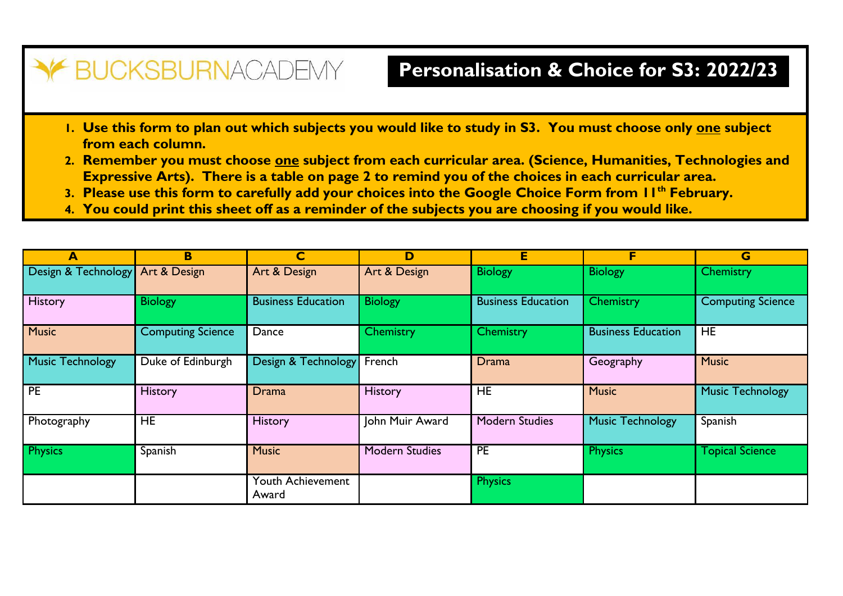## Y BUCKSBURNACADEMY

## **Personalisation & Choice for S3: 2022/23**

- **1. Use this form to plan out which subjects you would like to study in S3. You must choose only one subject from each column.**
- **2. Remember you must choose one subject from each curricular area. (Science, Humanities, Technologies and Expressive Arts). There is a table on page 2 to remind you of the choices in each curricular area.**
- **3. Please use this form to carefully add your choices into the Google Choice Form from 11th February.**
- **4. You could print this sheet off as a reminder of the subjects you are choosing if you would like.**

| $\blacktriangle$        | B                        | $\mathbf C$                | D                     | E                         | F                         | G                        |  |
|-------------------------|--------------------------|----------------------------|-----------------------|---------------------------|---------------------------|--------------------------|--|
| Design & Technology     | Art & Design             | Art & Design               | Art & Design          | <b>Biology</b>            | <b>Biology</b>            | Chemistry                |  |
| <b>History</b>          | <b>Biology</b>           | <b>Business Education</b>  | <b>Biology</b>        | <b>Business Education</b> | Chemistry                 | <b>Computing Science</b> |  |
| <b>Music</b>            | <b>Computing Science</b> | Dance                      | Chemistry             | Chemistry                 | <b>Business Education</b> | <b>HE</b>                |  |
| <b>Music Technology</b> | Duke of Edinburgh        | Design & Technology        | French                | Drama                     | Geography                 | <b>Music</b>             |  |
| <b>PE</b>               | <b>History</b>           | <b>Drama</b>               | <b>History</b>        | HE.                       | <b>Music</b>              | <b>Music Technology</b>  |  |
| Photography             | <b>HE</b>                | <b>History</b>             | John Muir Award       | <b>Modern Studies</b>     | Music Technology          | Spanish                  |  |
| <b>Physics</b>          | Spanish                  | <b>Music</b>               | <b>Modern Studies</b> | <b>PE</b>                 | <b>Physics</b>            | <b>Topical Science</b>   |  |
|                         |                          | Youth Achievement<br>Award |                       | <b>Physics</b>            |                           |                          |  |